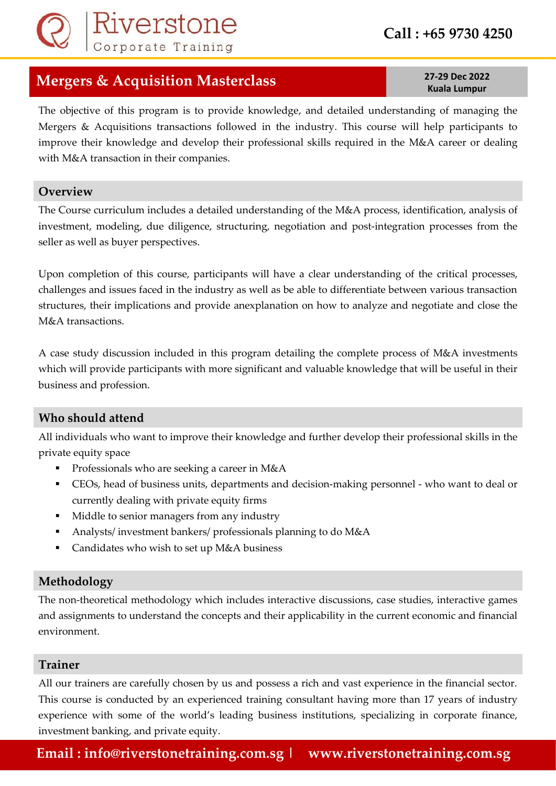# **Call : +65 9730 4250**

## **Mergers & Acquisition Masterclass 27-29 Dec 2022**

The objective of this program is to provide knowledge, and detailed understanding of managing the Mergers & Acquisitions transactions followed in the industry. This course will help participants to improve their knowledge and develop their professional skills required in the M&A career or dealing with M&A transaction in their companies.

### **Overview**

The Course curriculum includes a detailed understanding of the M&A process, identification, analysis of investment, modeling, due diligence, structuring, negotiation and post-integration processes from the seller as well as buyer perspectives.

Upon completion of this course, participants will have a clear understanding of the critical processes, challenges and issues faced in the industry as well as be able to differentiate between various transaction structures, their implications and provide anexplanation on how to analyze and negotiate and close the M&A transactions.

A case study discussion included in this program detailing the complete process of M&A investments which will provide participants with more significant and valuable knowledge that will be useful in their business and profession.

### **Who should attend**

All individuals who want to improve their knowledge and further develop their professional skills in the private equity space

- **•** Professionals who are seeking a career in M&A
- CEOs, head of business units, departments and decision-making personnel who want to deal or currently dealing with private equity firms
- Middle to senior managers from any industry
- Analysts/ investment bankers/ professionals planning to do M&A
- Candidates who wish to set up M&A business

### **Methodology**

The non-theoretical methodology which includes interactive discussions, case studies, interactive games and assignments to understand the concepts and their applicability in the current economic and financial environment.

### **Trainer**

All our trainers are carefully chosen by us and possess a rich and vast experience in the financial sector. This course is conducted by an experienced training consultant having more than 17 years of industry experience with some of the world's leading business institutions, specializing in corporate finance, investment banking, and private equity.

**Kuala Lumpur**

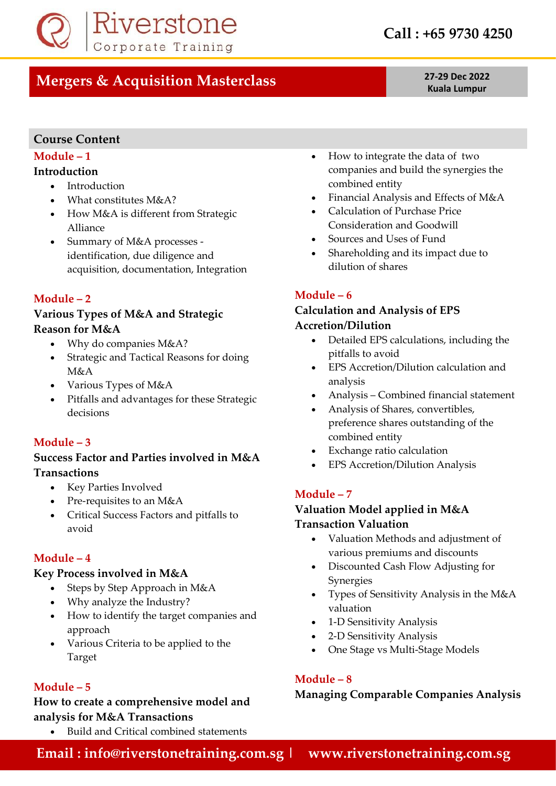

# **Mergers & Acquisition Masterclass 27-29 Dec 2022**

**Kuala Lumpur**

### **Course Content**

### **Module – 1**

### **Introduction**

- Introduction
- What constitutes M&A?
- How M&A is different from Strategic Alliance
- Summary of M&A processes identification, due diligence and acquisition, documentation, Integration

### **Module – 2**

### **Various Types of M&A and Strategic Reason for M&A**

- Why do companies M&A?
- Strategic and Tactical Reasons for doing M&A
- Various Types of M&A
- Pitfalls and advantages for these Strategic decisions

### **Module – 3**

### **Success Factor and Parties involved in M&A Transactions**

- Key Parties Involved
- Pre-requisites to an M&A
- Critical Success Factors and pitfalls to avoid

### **Module – 4**

### **Key Process involved in M&A**

- Steps by Step Approach in M&A
- Why analyze the Industry?
- How to identify the target companies and approach
- Various Criteria to be applied to the Target

### **Module – 5**

### **How to create a comprehensive model and analysis for M&A Transactions**

• Build and Critical combined statements

- How to integrate the data of two companies and build the synergies the combined entity
- Financial Analysis and Effects of M&A
- Calculation of Purchase Price Consideration and Goodwill
- Sources and Uses of Fund
- Shareholding and its impact due to dilution of shares

### **Module – 6**

### **Calculation and Analysis of EPS Accretion/Dilution**

- Detailed EPS calculations, including the pitfalls to avoid
- EPS Accretion/Dilution calculation and analysis
- Analysis Combined financial statement
- Analysis of Shares, convertibles, preference shares outstanding of the combined entity
- Exchange ratio calculation
- EPS Accretion/Dilution Analysis

### **Module – 7**

### **Valuation Model applied in M&A Transaction Valuation**

- Valuation Methods and adjustment of various premiums and discounts
- Discounted Cash Flow Adjusting for Synergies
- Types of Sensitivity Analysis in the M&A valuation
- 1-D Sensitivity Analysis
- 2-D Sensitivity Analysis
- One Stage vs Multi-Stage Models

### **Module – 8**

### **Managing Comparable Companies Analysis**

**Email : info@riverstonetraining.com.sg | www.riverstonetraining.com.sg**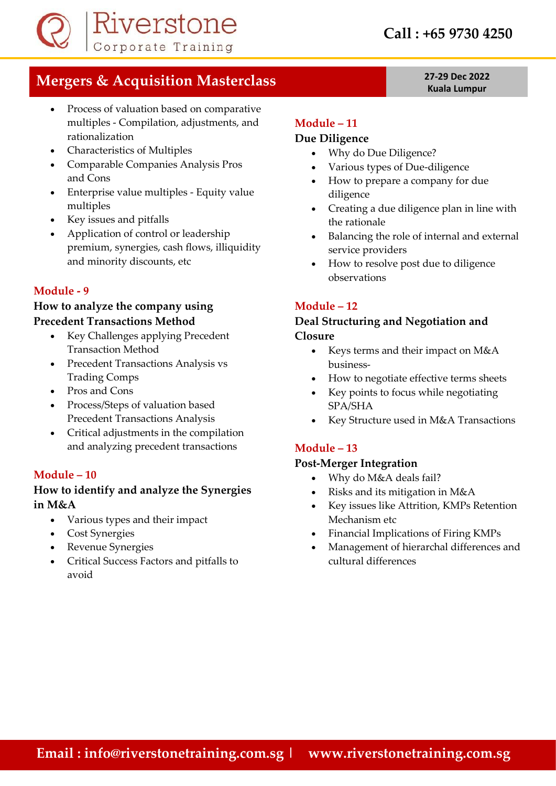

# **Mergers & Acquisition Masterclass 27-29 Dec 2022**

- Process of valuation based on comparative multiples - Compilation, adjustments, and rationalization
- Characteristics of Multiples
- Comparable Companies Analysis Pros and Cons
- Enterprise value multiples Equity value multiples
- Key issues and pitfalls
- Application of control or leadership premium, synergies, cash flows, illiquidity and minority discounts, etc

### **Module - 9**

### **How to analyze the company using Precedent Transactions Method**

- Key Challenges applying Precedent Transaction Method
- Precedent Transactions Analysis vs Trading Comps
- Pros and Cons
- Process/Steps of valuation based Precedent Transactions Analysis
- Critical adjustments in the compilation and analyzing precedent transactions

### **Module – 10**

### **How to identify and analyze the Synergies in M&A**

- Various types and their impact
- Cost Synergies
- Revenue Synergies
- Critical Success Factors and pitfalls to avoid

### **Module – 11**

### **Due Diligence**

- Why do Due Diligence?
- Various types of Due-diligence
- How to prepare a company for due diligence
- Creating a due diligence plan in line with the rationale
- Balancing the role of internal and external service providers
- How to resolve post due to diligence observations

### **Module – 12**

### **Deal Structuring and Negotiation and Closure**

- Keys terms and their impact on M&A business-
- How to negotiate effective terms sheets
- Key points to focus while negotiating SPA/SHA
- Key Structure used in M&A Transactions

### **Module – 13**

### **Post-Merger Integration**

- Why do M&A deals fail?
- Risks and its mitigation in M&A
- Key issues like Attrition, KMPs Retention Mechanism etc
- Financial Implications of Firing KMPs
- Management of hierarchal differences and cultural differences

# **Kuala Lumpur**